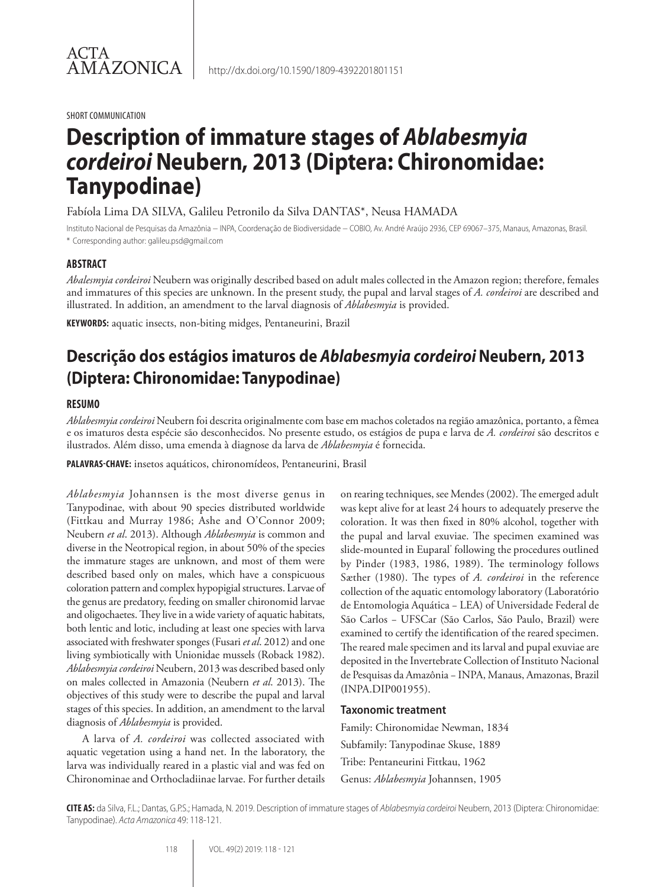SHORT COMMUNICATION

# **Description of immature stages of** *Ablabesmyia cordeiroi* **Neubern, 2013 (Diptera: Chironomidae: Tanypodinae)**

Fabíola Lima DA SILVA, Galileu Petronilo da Silva DANTAS\*, Neusa HAMADA

Instituto Nacional de Pesquisas da Amazônia − INPA, Coordenação de Biodiversidade − COBIO, Av. André Araújo 2936, CEP 69067–375, Manaus, Amazonas, Brasil. \* Corresponding author: galileu.psd@gmail.com

## **ABSTRACT**

*Abalesmyia cordeiroi* Neubern was originally described based on adult males collected in the Amazon region; therefore, females and immatures of this species are unknown. In the present study, the pupal and larval stages of *A. cordeiroi* are described and illustrated. In addition, an amendment to the larval diagnosis of *Ablabesmyia* is provided.

**KEYWORDS:** aquatic insects, non-biting midges, Pentaneurini, Brazil

## **Descrição dos estágios imaturos de** *Ablabesmyia cordeiroi* **Neubern, 2013 (Diptera: Chironomidae: Tanypodinae)**

## **RESUMO**

*Ablabesmyia cordeiroi* Neubern foi descrita originalmente com base em machos coletados na região amazônica, portanto, a fêmea e os imaturos desta espécie são desconhecidos. No presente estudo, os estágios de pupa e larva de *A. cordeiroi* são descritos e ilustrados. Além disso, uma emenda à diagnose da larva de *Ablabesmyia* é fornecida.

**PALAVRAS-CHAVE:** insetos aquáticos, chironomídeos, Pentaneurini, Brasil

*Ablabesmyia* Johannsen is the most diverse genus in Tanypodinae, with about 90 species distributed worldwide (Fittkau and Murray 1986; Ashe and O'Connor 2009; Neubern *et al*. 2013). Although *Ablabesmyia* is common and diverse in the Neotropical region, in about 50% of the species the immature stages are unknown, and most of them were described based only on males, which have a conspicuous coloration pattern and complex hypopigial structures. Larvae of the genus are predatory, feeding on smaller chironomid larvae and oligochaetes. They live in a wide variety of aquatic habitats, both lentic and lotic, including at least one species with larva associated with freshwater sponges (Fusari *et al*. 2012) and one living symbiotically with Unionidae mussels (Roback 1982). *Ablabesmyia cordeiroi* Neubern, 2013 was described based only on males collected in Amazonia (Neubern *et al*. 2013). The objectives of this study were to describe the pupal and larval stages of this species. In addition, an amendment to the larval diagnosis of *Ablabesmyia* is provided.

A larva of *A. cordeiroi* was collected associated with aquatic vegetation using a hand net. In the laboratory, the larva was individually reared in a plastic vial and was fed on Chironominae and Orthocladiinae larvae. For further details on rearing techniques, see Mendes (2002). The emerged adult was kept alive for at least 24 hours to adequately preserve the coloration. It was then fixed in 80% alcohol, together with the pupal and larval exuviae. The specimen examined was slide-mounted in Euparal® following the procedures outlined by Pinder (1983, 1986, 1989). The terminology follows Sæther (1980). The types of *A. cordeiroi* in the reference collection of the aquatic entomology laboratory (Laboratório de Entomologia Aquática − LEA) of Universidade Federal de São Carlos − UFSCar (São Carlos, São Paulo, Brazil) were examined to certify the identification of the reared specimen. The reared male specimen and its larval and pupal exuviae are deposited in the Invertebrate Collection of Instituto Nacional de Pesquisas da Amazônia − INPA, Manaus, Amazonas, Brazil (INPA.DIP001955).

## **Taxonomic treatment**

Family: Chironomidae Newman, 1834 Subfamily: Tanypodinae Skuse, 1889 Tribe: Pentaneurini Fittkau, 1962 Genus: *Ablabesmyia* Johannsen, 1905

**CITE AS:** da Silva, F.L.; Dantas, G.P.S.; Hamada, N. 2019. Description of immature stages of *Ablabesmyia cordeiroi* Neubern, 2013 (Diptera: Chironomidae: Tanypodinae). *Acta Amazonica* 49: 118-121.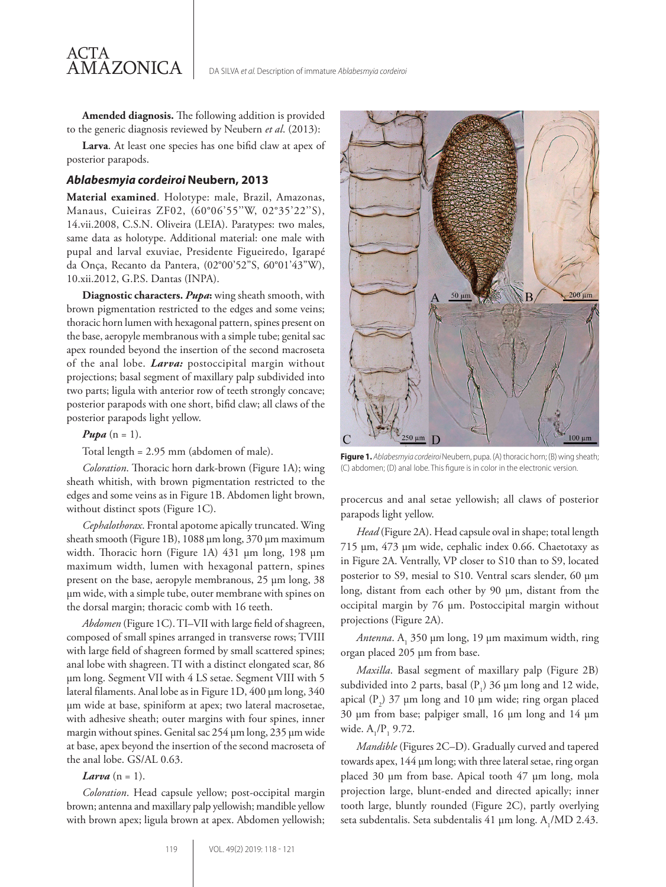**Amended diagnosis.** The following addition is provided to the generic diagnosis reviewed by Neubern *et al*. (2013):

**Larva**. At least one species has one bifid claw at apex of posterior parapods.

#### *Ablabesmyia cordeiroi* **Neubern, 2013**

**Material examined**. Holotype: male, Brazil, Amazonas, Manaus, Cuieiras ZF02, (60°06'55''W, 02°35'22''S), 14.vii.2008, C.S.N. Oliveira (LEIA). Paratypes: two males, same data as holotype. Additional material: one male with pupal and larval exuviae, Presidente Figueiredo, Igarapé da Onça, Recanto da Pantera, (02°00'52"S, 60°01'43"W), 10.xii.2012, G.P.S. Dantas (INPA).

**Diagnostic characters.** *Pupa***:** wing sheath smooth, with brown pigmentation restricted to the edges and some veins; thoracic horn lumen with hexagonal pattern, spines present on the base, aeropyle membranous with a simple tube; genital sac apex rounded beyond the insertion of the second macroseta of the anal lobe. *Larva:* postoccipital margin without projections; basal segment of maxillary palp subdivided into two parts; ligula with anterior row of teeth strongly concave; posterior parapods with one short, bifid claw; all claws of the posterior parapods light yellow.

*Pupa*  $(n = 1)$ *.* 

ACTA

AMAZONICA

Total length = 2.95 mm (abdomen of male).

*Coloration*. Thoracic horn dark-brown (Figure 1A); wing sheath whitish, with brown pigmentation restricted to the edges and some veins as in Figure 1B. Abdomen light brown, without distinct spots (Figure 1C).

*Cephalothorax*. Frontal apotome apically truncated. Wing sheath smooth (Figure 1B), 1088 μm long, 370 μm maximum width. Thoracic horn (Figure 1A) 431 μm long, 198 μm maximum width, lumen with hexagonal pattern, spines present on the base, aeropyle membranous, 25 μm long, 38 μm wide, with a simple tube, outer membrane with spines on the dorsal margin; thoracic comb with 16 teeth.

*Abdomen* (Figure 1C). TI–VII with large field of shagreen, composed of small spines arranged in transverse rows; TVIII with large field of shagreen formed by small scattered spines; anal lobe with shagreen. TI with a distinct elongated scar, 86 μm long. Segment VII with 4 LS setae. Segment VIII with 5 lateral filaments. Anal lobe as in Figure 1D, 400 μm long, 340 μm wide at base, spiniform at apex; two lateral macrosetae, with adhesive sheath; outer margins with four spines, inner margin without spines. Genital sac 254 μm long, 235 μm wide at base, apex beyond the insertion of the second macroseta of the anal lobe. GS/AL 0.63.

#### *Larva*  $(n = 1)$ .

*Coloration*. Head capsule yellow; post-occipital margin brown; antenna and maxillary palp yellowish; mandible yellow with brown apex; ligula brown at apex. Abdomen yellowish;



**Figure 1.** *Ablabesmyia cordeiroi* Neubern, pupa. (A) thoracic horn; (B) wing sheath; (C) abdomen; (D) anal lobe. This figure is in color in the electronic version.

procercus and anal setae yellowish; all claws of posterior parapods light yellow.

*Head* (Figure 2A). Head capsule oval in shape; total length 715 μm, 473 μm wide, cephalic index 0.66. Chaetotaxy as in Figure 2A. Ventrally, VP closer to S10 than to S9, located posterior to S9, mesial to S10. Ventral scars slender, 60 μm long, distant from each other by 90 μm, distant from the occipital margin by 76 μm. Postoccipital margin without projections (Figure 2A).

*Antenna*. A<sub>1</sub> 350 μm long, 19 μm maximum width, ring organ placed 205 μm from base.

*Maxilla*. Basal segment of maxillary palp (Figure 2B) subdivided into 2 parts, basal  $(P_1)$  36  $\mu$ m long and 12 wide, apical  $(P_2)$  37  $\mu$ m long and 10  $\mu$ m wide; ring organ placed 30 μm from base; palpiger small, 16 μm long and 14 μm wide.  $A_1/P_1$  9.72.

*Mandible* (Figures 2C–D). Gradually curved and tapered towards apex, 144 μm long; with three lateral setae, ring organ placed 30 μm from base. Apical tooth 47 μm long, mola projection large, blunt-ended and directed apically; inner tooth large, bluntly rounded (Figure 2C), partly overlying seta subdentalis. Seta subdentalis 41  $\mu$ m long. A<sub>1</sub>/MD 2.43.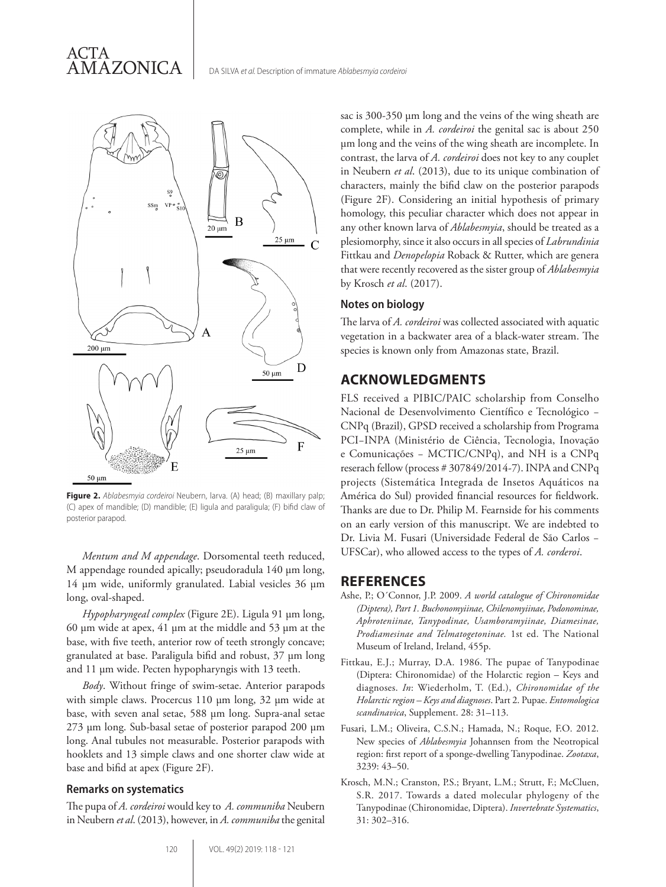ACTA AMAZONICA



**Figure 2.** *Ablabesmyia cordeiroi* Neubern, larva. (A) head; (B) maxillary palp; (C) apex of mandible; (D) mandible; (E) ligula and paraligula; (F) bifid claw of posterior parapod.

*Mentum and M appendage*. Dorsomental teeth reduced, M appendage rounded apically; pseudoradula 140 μm long, 14 μm wide, uniformly granulated. Labial vesicles 36 μm long, oval-shaped.

*Hypopharyngeal complex* (Figure 2E). Ligula 91 μm long, 60 μm wide at apex, 41 μm at the middle and 53 μm at the base, with five teeth, anterior row of teeth strongly concave; granulated at base. Paraligula bifid and robust, 37 μm long and 11 μm wide. Pecten hypopharyngis with 13 teeth.

*Body*. Without fringe of swim-setae. Anterior parapods with simple claws. Procercus 110 μm long, 32 μm wide at base, with seven anal setae, 588 μm long. Supra-anal setae 273 μm long. Sub-basal setae of posterior parapod 200 μm long. Anal tubules not measurable. Posterior parapods with hooklets and 13 simple claws and one shorter claw wide at base and bifid at apex (Figure 2F).

#### **Remarks on systematics**

The pupa of *A. cordeiroi* would key to *A. communiba* Neubern in Neubern *et al*. (2013), however, in *A. communiba* the genital

sac is 300-350 μm long and the veins of the wing sheath are complete, while in *A. cordeiroi* the genital sac is about 250 μm long and the veins of the wing sheath are incomplete. In contrast, the larva of *A. cordeiroi* does not key to any couplet in Neubern *et al*. (2013), due to its unique combination of characters, mainly the bifid claw on the posterior parapods (Figure 2F). Considering an initial hypothesis of primary homology, this peculiar character which does not appear in any other known larva of *Ablabesmyia*, should be treated as a plesiomorphy, since it also occurs in all species of *Labrundinia* Fittkau and *Denopelopia* Roback & Rutter, which are genera that were recently recovered as the sister group of *Ablabesmyia* by Krosch *et al*. (2017).

#### **Notes on biology**

The larva of *A. cordeiroi* was collected associated with aquatic vegetation in a backwater area of a black-water stream. The species is known only from Amazonas state, Brazil.

## **ACKNOWLEDGMENTS**

FLS received a PIBIC/PAIC scholarship from Conselho Nacional de Desenvolvimento Científico e Tecnológico − CNPq (Brazil), GPSD received a scholarship from Programa PCI−INPA (Ministério de Ciência, Tecnologia, Inovação e Comunicações − MCTIC/CNPq), and NH is a CNPq reserach fellow (process # 307849/2014-7). INPA and CNPq projects (Sistemática Integrada de Insetos Aquáticos na América do Sul) provided financial resources for fieldwork. Thanks are due to Dr. Philip M. Fearnside for his comments on an early version of this manuscript. We are indebted to Dr. Livia M. Fusari (Universidade Federal de São Carlos − UFSCar), who allowed access to the types of *A. corderoi*.

## **REFERENCES**

- Ashe, P.; O´Connor, J.P. 2009. *A world catalogue of Chironomidae (Diptera), Part 1. Buchonomyiinae, Chilenomyiinae, Podonominae, Aphroteniinae, Tanypodinae, Usamboramyiinae, Diamesinae, Prodiamesinae and Telmatogetoninae.* 1st ed. The National Museum of Ireland, Ireland, 455p.
- Fittkau, E.J.; Murray, D.A. 1986. The pupae of Tanypodinae (Diptera: Chironomidae) of the Holarctic region – Keys and diagnoses. *In*: Wiederholm, T. (Ed.), *Chironomidae of the Holarctic region – Keys and diagnoses*. Part 2. Pupae. *Entomologica scandinavica*, Supplement. 28: 31–113.
- Fusari, L.M.; Oliveira, C.S.N.; Hamada, N.; Roque, F.O. 2012. New species of *Ablabesmyia* Johannsen from the Neotropical region: first report of a sponge-dwelling Tanypodinae. *Zootaxa*, 3239: 43–50.
- Krosch, M.N.; Cranston, P.S.; Bryant, L.M.; Strutt, F.; McCluen, S.R. 2017. Towards a dated molecular phylogeny of the Tanypodinae (Chironomidae, Diptera). *Invertebrate Systematics*, 31: 302–316.